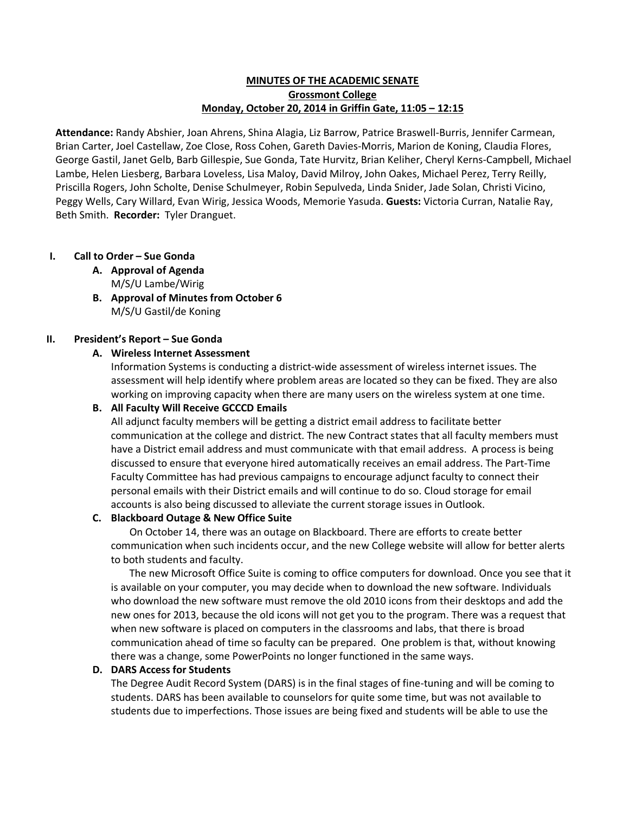### **MINUTES OF THE ACADEMIC SENATE Grossmont College Monday, October 20, 2014 in Griffin Gate, 11:05 – 12:15**

**Attendance:** Randy Abshier, Joan Ahrens, Shina Alagia, Liz Barrow, Patrice Braswell-Burris, Jennifer Carmean, Brian Carter, Joel Castellaw, Zoe Close, Ross Cohen, Gareth Davies-Morris, Marion de Koning, Claudia Flores, George Gastil, Janet Gelb, Barb Gillespie, Sue Gonda, Tate Hurvitz, Brian Keliher, Cheryl Kerns-Campbell, Michael Lambe, Helen Liesberg, Barbara Loveless, Lisa Maloy, David Milroy, John Oakes, Michael Perez, Terry Reilly, Priscilla Rogers, John Scholte, Denise Schulmeyer, Robin Sepulveda, Linda Snider, Jade Solan, Christi Vicino, Peggy Wells, Cary Willard, Evan Wirig, Jessica Woods, Memorie Yasuda. **Guests:** Victoria Curran, Natalie Ray, Beth Smith. **Recorder:** Tyler Dranguet.

# **I. Call to Order – Sue Gonda**

- **A. Approval of Agenda** M/S/U Lambe/Wirig
- **B. Approval of Minutes from October 6** M/S/U Gastil/de Koning

### **II. President's Report – Sue Gonda**

# **A. Wireless Internet Assessment**

Information Systems is conducting a district-wide assessment of wireless internet issues. The assessment will help identify where problem areas are located so they can be fixed. They are also working on improving capacity when there are many users on the wireless system at one time.

### **B. All Faculty Will Receive GCCCD Emails**

All adjunct faculty members will be getting a district email address to facilitate better communication at the college and district. The new Contract states that all faculty members must have a District email address and must communicate with that email address. A process is being discussed to ensure that everyone hired automatically receives an email address. The Part-Time Faculty Committee has had previous campaigns to encourage adjunct faculty to connect their personal emails with their District emails and will continue to do so. Cloud storage for email accounts is also being discussed to alleviate the current storage issues in Outlook.

### **C. Blackboard Outage & New Office Suite**

On October 14, there was an outage on Blackboard. There are efforts to create better communication when such incidents occur, and the new College website will allow for better alerts to both students and faculty.

The new Microsoft Office Suite is coming to office computers for download. Once you see that it is available on your computer, you may decide when to download the new software. Individuals who download the new software must remove the old 2010 icons from their desktops and add the new ones for 2013, because the old icons will not get you to the program. There was a request that when new software is placed on computers in the classrooms and labs, that there is broad communication ahead of time so faculty can be prepared. One problem is that, without knowing there was a change, some PowerPoints no longer functioned in the same ways.

### **D. DARS Access for Students**

The Degree Audit Record System (DARS) is in the final stages of fine-tuning and will be coming to students. DARS has been available to counselors for quite some time, but was not available to students due to imperfections. Those issues are being fixed and students will be able to use the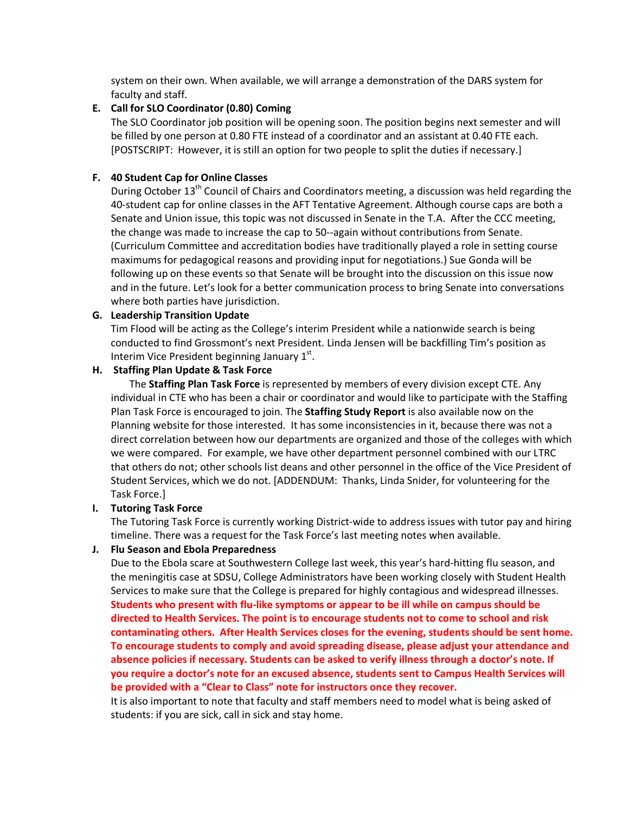system on their own. When available, we will arrange a demonstration of the DARS system for faculty and staff.

### **E. Call for SLO Coordinator (0.80) Coming**

The SLO Coordinator job position will be opening soon. The position begins next semester and will be filled by one person at 0.80 FTE instead of a coordinator and an assistant at 0.40 FTE each. [POSTSCRIPT: However, it is still an option for two people to split the duties if necessary.]

# **F. 40 Student Cap for Online Classes**

During October 13<sup>th</sup> Council of Chairs and Coordinators meeting, a discussion was held regarding the 40-student cap for online classes in the AFT Tentative Agreement. Although course caps are both a Senate and Union issue, this topic was not discussed in Senate in the T.A. After the CCC meeting, the change was made to increase the cap to 50--again without contributions from Senate. (Curriculum Committee and accreditation bodies have traditionally played a role in setting course maximums for pedagogical reasons and providing input for negotiations.) Sue Gonda will be following up on these events so that Senate will be brought into the discussion on this issue now and in the future. Let's look for a better communication process to bring Senate into conversations where both parties have jurisdiction.

### **G. Leadership Transition Update**

Tim Flood will be acting as the College's interim President while a nationwide search is being conducted to find Grossmont's next President. Linda Jensen will be backfilling Tim's position as Interim Vice President beginning January  $1<sup>st</sup>$ .

# **H. Staffing Plan Update & Task Force**

The **Staffing Plan Task Force** is represented by members of every division except CTE. Any individual in CTE who has been a chair or coordinator and would like to participate with the Staffing Plan Task Force is encouraged to join. The **Staffing Study Report** is also available now on the Planning website for those interested. It has some inconsistencies in it, because there was not a direct correlation between how our departments are organized and those of the colleges with which we were compared. For example, we have other department personnel combined with our LTRC that others do not; other schools list deans and other personnel in the office of the Vice President of Student Services, which we do not. [ADDENDUM: Thanks, Linda Snider, for volunteering for the Task Force.]

### **I. Tutoring Task Force**

The Tutoring Task Force is currently working District-wide to address issues with tutor pay and hiring timeline. There was a request for the Task Force's last meeting notes when available.

### **J. Flu Season and Ebola Preparedness**

Due to the Ebola scare at Southwestern College last week, this year's hard-hitting flu season, and the meningitis case at SDSU, College Administrators have been working closely with Student Health Services to make sure that the College is prepared for highly contagious and widespread illnesses. **Students who present with flu-like symptoms or appear to be ill while on campus should be directed to Health Services. The point is to encourage students not to come to school and risk contaminating others. After Health Services closes for the evening, students should be sent home. To encourage students to comply and avoid spreading disease, please adjust your attendance and absence policies if necessary. Students can be asked to verify illness through a doctor's note. If you require a doctor's note for an excused absence, students sent to Campus Health Services will be provided with a "Clear to Class" note for instructors once they recover.** 

It is also important to note that faculty and staff members need to model what is being asked of students: if you are sick, call in sick and stay home.